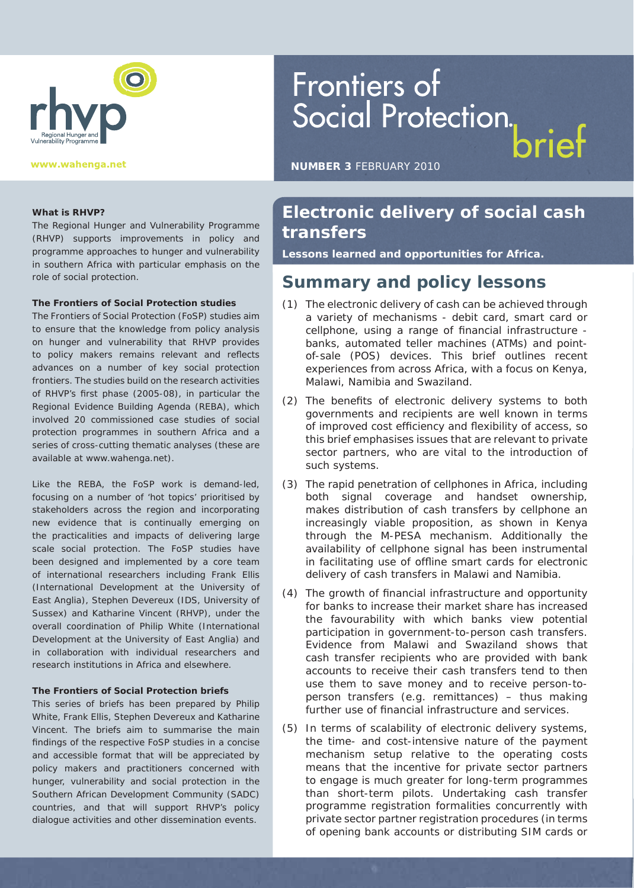

# Frontiers of Social Protection.

**NUMBER 3** FEBRUARY 2010

#### **What is RHVP?**

The Regional Hunger and Vulnerability Programme (RHVP) supports improvements in policy and programme approaches to hunger and vulnerability in southern Africa with particular emphasis on the role of social protection.

#### **The Frontiers of Social Protection studies**

The Frontiers of Social Protection (FoSP) studies aim to ensure that the knowledge from policy analysis on hunger and vulnerability that RHVP provides to policy makers remains relevant and reflects advances on a number of key social protection frontiers. The studies build on the research activities of RHVP's first phase (2005-08), in particular the Regional Evidence Building Agenda (REBA), which involved 20 commissioned case studies of social protection programmes in southern Africa and a series of cross-cutting thematic analyses (these are available at www.wahenga.net).

Like the REBA, the FoSP work is demand-led, focusing on a number of 'hot topics' prioritised by stakeholders across the region and incorporating new evidence that is continually emerging on the practicalities and impacts of delivering large scale social protection. The FoSP studies have been designed and implemented by a core team of international researchers including Frank Ellis (International Development at the University of East Anglia), Stephen Devereux (IDS, University of Sussex) and Katharine Vincent (RHVP), under the overall coordination of Philip White (International Development at the University of East Anglia) and in collaboration with individual researchers and research institutions in Africa and elsewhere.

#### **The Frontiers of Social Protection briefs**

This series of briefs has been prepared by Philip White, Frank Ellis, Stephen Devereux and Katharine Vincent. The briefs aim to summarise the main findings of the respective FoSP studies in a concise and accessible format that will be appreciated by policy makers and practitioners concerned with hunger, vulnerability and social protection in the Southern African Development Community (SADC) countries, and that will support RHVP's policy dialogue activities and other dissemination events.

#### **Electronic delivery of social cash transfers**

**Lessons learned and opportunities for Africa.**

#### **Summary and policy lessons**

- (1) The electronic delivery of cash can be achieved through a variety of mechanisms - debit card, smart card or cellphone, using a range of financial infrastructure banks, automated teller machines (ATMs) and pointof-sale (POS) devices. This brief outlines recent experiences from across Africa, with a focus on Kenya, Malawi, Namibia and Swaziland.
- (2) The benefits of electronic delivery systems to both governments and recipients are well known in terms of improved cost efficiency and flexibility of access, so this brief emphasises issues that are relevant to private sector partners, who are vital to the introduction of such systems.
- (3) The rapid penetration of cellphones in Africa, including both signal coverage and handset ownership, makes distribution of cash transfers by cellphone an increasingly viable proposition, as shown in Kenya through the M-PESA mechanism. Additionally the availability of cellphone signal has been instrumental in facilitating use of offline smart cards for electronic delivery of cash transfers in Malawi and Namibia.
- (4) The growth of financial infrastructure and opportunity for banks to increase their market share has increased the favourability with which banks view potential participation in government-to-person cash transfers. Evidence from Malawi and Swaziland shows that cash transfer recipients who are provided with bank accounts to receive their cash transfers tend to then use them to save money and to receive person-toperson transfers (e.g. remittances) – thus making further use of financial infrastructure and services.
- (5) In terms of scalability of electronic delivery systems, the time- and cost-intensive nature of the payment mechanism setup relative to the operating costs means that the incentive for private sector partners to engage is much greater for long-term programmes than short-term pilots. Undertaking cash transfer programme registration formalities concurrently with private sector partner registration procedures (in terms of opening bank accounts or distributing SIM cards or

FEBRUARY 2010 **NUMBER 3** FRONTIERS OF SOCIAL PROTECTION BRIEF **1**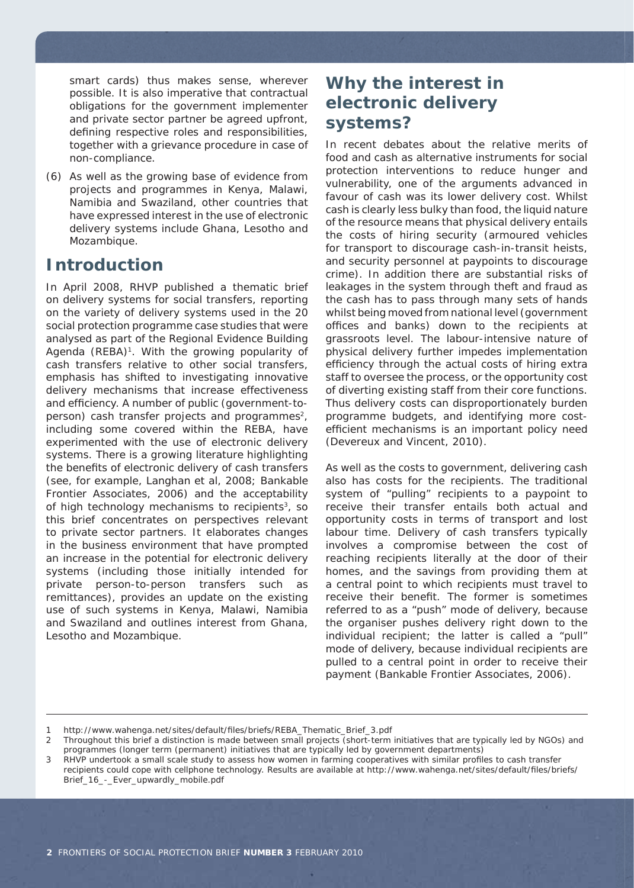smart cards) thus makes sense, wherever possible. It is also imperative that contractual obligations for the government implementer and private sector partner be agreed upfront, defining respective roles and responsibilities, together with a grievance procedure in case of non-compliance.

(6) As well as the growing base of evidence from projects and programmes in Kenya, Malawi, Namibia and Swaziland, other countries that have expressed interest in the use of electronic delivery systems include Ghana, Lesotho and Mozambique.

#### **Introduction**

In April 2008, RHVP published a thematic brief on delivery systems for social transfers, reporting on the variety of delivery systems used in the 20 social protection programme case studies that were analysed as part of the Regional Evidence Building Agenda (REBA)<sup>1</sup>. With the growing popularity of cash transfers relative to other social transfers, emphasis has shifted to investigating innovative delivery mechanisms that increase effectiveness and efficiency. A number of public (government-toperson) cash transfer projects and programmes<sup>2</sup>, including some covered within the REBA, have experimented with the use of electronic delivery systems. There is a growing literature highlighting the benefits of electronic delivery of cash transfers (see, for example, Langhan et al, 2008; Bankable Frontier Associates, 2006) and the acceptability of high technology mechanisms to recipients $3$ , so this brief concentrates on perspectives relevant to private sector partners. It elaborates changes in the business environment that have prompted an increase in the potential for electronic delivery systems (including those initially intended for private person-to-person transfers such as remittances), provides an update on the existing use of such systems in Kenya, Malawi, Namibia and Swaziland and outlines interest from Ghana, Lesotho and Mozambique.

# **Why the interest in electronic delivery systems?**

In recent debates about the relative merits of food and cash as alternative instruments for social protection interventions to reduce hunger and vulnerability, one of the arguments advanced in favour of cash was its lower delivery cost. Whilst cash is clearly less bulky than food, the liquid nature of the resource means that physical delivery entails the costs of hiring security (armoured vehicles for transport to discourage cash-in-transit heists, and security personnel at paypoints to discourage crime). In addition there are substantial risks of leakages in the system through theft and fraud as the cash has to pass through many sets of hands whilst being moved from national level (government offices and banks) down to the recipients at grassroots level. The labour-intensive nature of physical delivery further impedes implementation efficiency through the actual costs of hiring extra staff to oversee the process, or the opportunity cost of diverting existing staff from their core functions. Thus delivery costs can disproportionately burden programme budgets, and identifying more costefficient mechanisms is an important policy need (Devereux and Vincent, 2010).

As well as the costs to government, delivering cash also has costs for the recipients. The traditional system of "pulling" recipients to a paypoint to receive their transfer entails both actual and opportunity costs in terms of transport and lost labour time. Delivery of cash transfers typically involves a compromise between the cost of reaching recipients literally at the door of their homes, and the savings from providing them at a central point to which recipients must travel to receive their benefit. The former is sometimes referred to as a "push" mode of delivery, because the organiser pushes delivery right down to the individual recipient; the latter is called a "pull" mode of delivery, because individual recipients are pulled to a central point in order to receive their payment (Bankable Frontier Associates, 2006).

<sup>1</sup> http://www.wahenga.net/sites/default/fi les/briefs/REBA\_Thematic\_Brief\_3.pdf

<sup>2</sup> Throughout this brief a distinction is made between small projects (short-term initiatives that are typically led by NGOs) and programmes (longer term (permanent) initiatives that are typically led by government departments)

<sup>3</sup> RHVP undertook a small scale study to assess how women in farming cooperatives with similar profiles to cash transfer recipients could cope with cellphone technology. Results are available at http://www.wahenga.net/sites/default/files/briefs/ Brief\_16\_-\_Ever\_upwardly\_mobile.pdf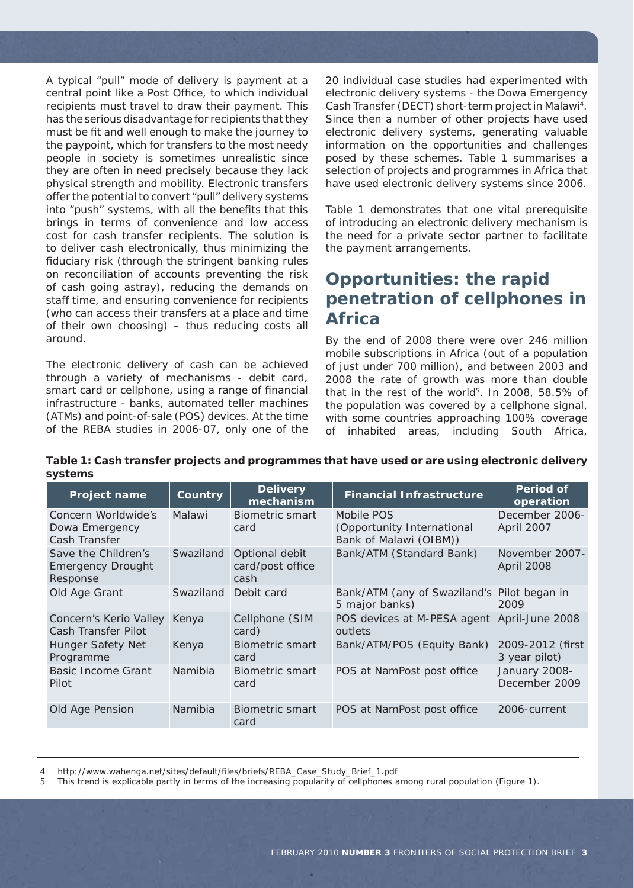A typical "pull" mode of delivery is payment at a central point like a Post Office, to which individual recipients must travel to draw their payment. This has the serious disadvantage for recipients that they must be fit and well enough to make the journey to the paypoint, which for transfers to the most needy people in society is sometimes unrealistic since they are often in need precisely because they lack physical strength and mobility. Electronic transfers offer the potential to convert "pull" delivery systems into "push" systems, with all the benefits that this brings in terms of convenience and low access cost for cash transfer recipients. The solution is to deliver cash electronically, thus minimizing the fiduciary risk (through the stringent banking rules on reconciliation of accounts preventing the risk of cash going astray), reducing the demands on staff time, and ensuring convenience for recipients (who can access their transfers at a place and time of their own choosing) – thus reducing costs all around.

The electronic delivery of cash can be achieved through a variety of mechanisms - debit card, smart card or cellphone, using a range of financial infrastructure - banks, automated teller machines (ATMs) and point-of-sale (POS) devices. At the time of the REBA studies in 2006-07, only one of the

20 individual case studies had experimented with electronic delivery systems - the Dowa Emergency Cash Transfer (DECT) short-term project in Malawi4. Since then a number of other projects have used electronic delivery systems, generating valuable information on the opportunities and challenges posed by these schemes. Table 1 summarises a selection of projects and programmes in Africa that have used electronic delivery systems since 2006.

Table 1 demonstrates that one vital prerequisite of introducing an electronic delivery mechanism is the need for a private sector partner to facilitate the payment arrangements.

### **Opportunities: the rapid penetration of cellphones in Africa**

By the end of 2008 there were over 246 million mobile subscriptions in Africa (out of a population of just under 700 million), and between 2003 and 2008 the rate of growth was more than double that in the rest of the world<sup>5</sup>. In 2008, 58.5% of the population was covered by a cellphone signal, with some countries approaching 100% coverage of inhabited areas, including South Africa,

**Table 1: Cash transfer projects and programmes that have used or are using electronic delivery systems**

| Project name                                                | Country   | <b>Delivery</b><br>mechanism               | <b>Financial Infrastructure</b>                                    | <b>Period of</b><br>operation     |
|-------------------------------------------------------------|-----------|--------------------------------------------|--------------------------------------------------------------------|-----------------------------------|
| Concern Worldwide's<br>Dowa Emergency<br>Cash Transfer      | Malawi    | <b>Biometric smart</b><br>card             | Mobile POS<br>(Opportunity International<br>Bank of Malawi (OIBM)) | December 2006-<br>April 2007      |
| Save the Children's<br><b>Emergency Drought</b><br>Response | Swaziland | Optional debit<br>card/post office<br>cash | Bank/ATM (Standard Bank)                                           | November 2007-<br>April 2008      |
| Old Age Grant                                               | Swaziland | Debit card                                 | Bank/ATM (any of Swaziland's Pilot began in<br>5 major banks)      | 2009                              |
| Concern's Kerio Valley<br>Cash Transfer Pilot               | Kenya     | Cellphone (SIM<br>card)                    | POS devices at M-PESA agent April-June 2008<br>outlets             |                                   |
| <b>Hunger Safety Net</b><br>Programme                       | Kenya     | Biometric smart<br>card                    | Bank/ATM/POS (Equity Bank)                                         | 2009-2012 (first<br>3 year pilot) |
| <b>Basic Income Grant</b><br>Pilot                          | Namibia   | Biometric smart<br>card                    | POS at NamPost post office                                         | January 2008-<br>December 2009    |
| Old Age Pension                                             | Namibia   | Biometric smart<br>card                    | POS at NamPost post office                                         | 2006-current                      |

http://www.wahenga.net/sites/default/files/briefs/REBA\_Case\_Study\_Brief\_1.pdf

5 This trend is explicable partly in terms of the increasing popularity of cellphones among rural population (Figure 1).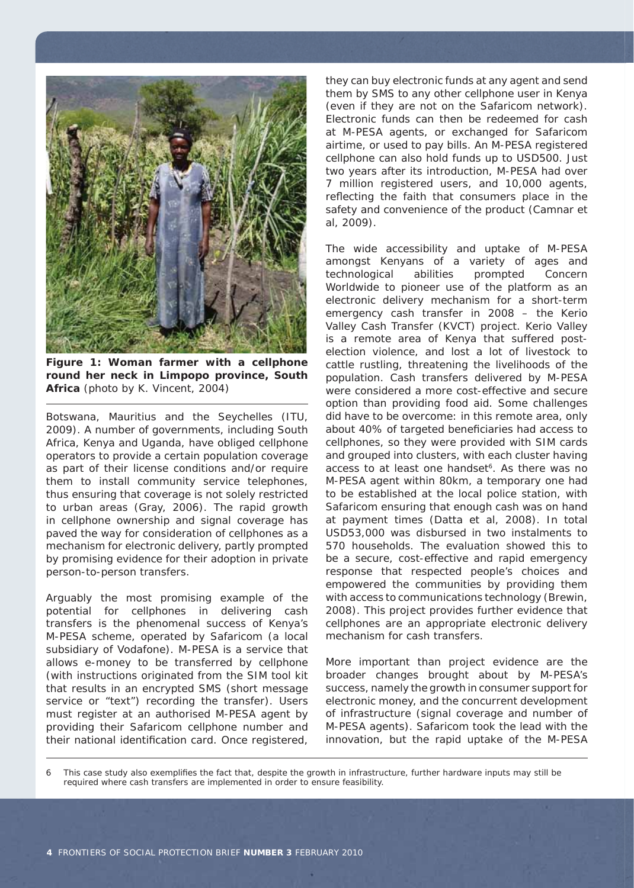

**Figure 1: Woman farmer with a cellphone round her neck in Limpopo province, South Africa** (photo by K. Vincent, 2004)

Botswana, Mauritius and the Seychelles (ITU, 2009). A number of governments, including South Africa, Kenya and Uganda, have obliged cellphone operators to provide a certain population coverage as part of their license conditions and/or require them to install community service telephones, thus ensuring that coverage is not solely restricted to urban areas (Gray, 2006). The rapid growth in cellphone ownership and signal coverage has paved the way for consideration of cellphones as a mechanism for electronic delivery, partly prompted by promising evidence for their adoption in private person-to-person transfers.

Arguably the most promising example of the potential for cellphones in delivering cash transfers is the phenomenal success of Kenya's M-PESA scheme, operated by Safaricom (a local subsidiary of Vodafone). M-PESA is a service that allows e-money to be transferred by cellphone (with instructions originated from the SIM tool kit that results in an encrypted SMS (short message service or "text") recording the transfer). Users must register at an authorised M-PESA agent by providing their Safaricom cellphone number and their national identification card. Once registered,

they can buy electronic funds at any agent and send them by SMS to any other cellphone user in Kenya (even if they are not on the Safaricom network). Electronic funds can then be redeemed for cash at M-PESA agents, or exchanged for Safaricom airtime, or used to pay bills. An M-PESA registered cellphone can also hold funds up to USD500. Just two years after its introduction, M-PESA had over 7 million registered users, and 10,000 agents, reflecting the faith that consumers place in the safety and convenience of the product (Camnar et al, 2009).

The wide accessibility and uptake of M-PESA amongst Kenyans of a variety of ages and technological abilities prompted Concern Worldwide to pioneer use of the platform as an electronic delivery mechanism for a short-term emergency cash transfer in 2008 – the Kerio Valley Cash Transfer (KVCT) project. Kerio Valley is a remote area of Kenya that suffered postelection violence, and lost a lot of livestock to cattle rustling, threatening the livelihoods of the population. Cash transfers delivered by M-PESA were considered a more cost-effective and secure option than providing food aid. Some challenges did have to be overcome: in this remote area, only about 40% of targeted beneficiaries had access to cellphones, so they were provided with SIM cards and grouped into clusters, with each cluster having access to at least one handset<sup>6</sup>. As there was no M-PESA agent within 80km, a temporary one had to be established at the local police station, with Safaricom ensuring that enough cash was on hand at payment times (Datta et al, 2008). In total USD53,000 was disbursed in two instalments to 570 households. The evaluation showed this to be a secure, cost-effective and rapid emergency response that respected people's choices and empowered the communities by providing them with access to communications technology (Brewin, 2008). This project provides further evidence that cellphones are an appropriate electronic delivery mechanism for cash transfers.

More important than project evidence are the broader changes brought about by M-PESA's success, namely the growth in consumer support for electronic money, and the concurrent development of infrastructure (signal coverage and number of M-PESA agents). Safaricom took the lead with the innovation, but the rapid uptake of the M-PESA

6 This case study also exemplifies the fact that, despite the growth in infrastructure, further hardware inputs may still be required where cash transfers are implemented in order to ensure feasibility.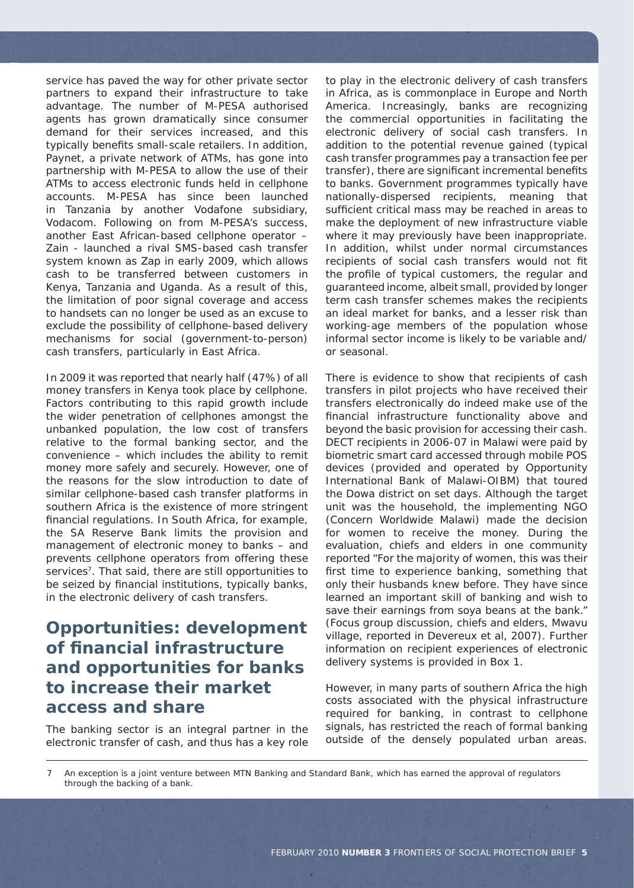service has paved the way for other private sector partners to expand their infrastructure to take advantage. The number of M-PESA authorised agents has grown dramatically since consumer demand for their services increased, and this typically benefits small-scale retailers. In addition, Paynet, a private network of ATMs, has gone into partnership with M-PESA to allow the use of their ATMs to access electronic funds held in cellphone accounts. M-PESA has since been launched in Tanzania by another Vodafone subsidiary, Vodacom. Following on from M-PESA's success, another East African-based cellphone operator – Zain - launched a rival SMS-based cash transfer system known as Zap in early 2009, which allows cash to be transferred between customers in Kenya, Tanzania and Uganda. As a result of this, the limitation of poor signal coverage and access to handsets can no longer be used as an excuse to exclude the possibility of cellphone-based delivery mechanisms for social (government-to-person) cash transfers, particularly in East Africa.

In 2009 it was reported that nearly half (47%) of all money transfers in Kenya took place by cellphone. Factors contributing to this rapid growth include the wider penetration of cellphones amongst the unbanked population, the low cost of transfers relative to the formal banking sector, and the convenience – which includes the ability to remit money more safely and securely. However, one of the reasons for the slow introduction to date of similar cellphone-based cash transfer platforms in southern Africa is the existence of more stringent financial regulations. In South Africa, for example, the SA Reserve Bank limits the provision and management of electronic money to banks – and prevents cellphone operators from offering these services<sup>7</sup>. That said, there are still opportunities to be seized by financial institutions, typically banks, in the electronic delivery of cash transfers.

### **Opportunities: development of fi nancial infrastructure and opportunities for banks to increase their market access and share**

The banking sector is an integral partner in the electronic transfer of cash, and thus has a key role to play in the electronic delivery of cash transfers in Africa, as is commonplace in Europe and North America. Increasingly, banks are recognizing the commercial opportunities in facilitating the electronic delivery of social cash transfers. In addition to the potential revenue gained (typical cash transfer programmes pay a transaction fee per transfer), there are significant incremental benefits to banks. Government programmes typically have nationally-dispersed recipients, meaning that sufficient critical mass may be reached in areas to make the deployment of new infrastructure viable where it may previously have been inappropriate. In addition, whilst under normal circumstances recipients of social cash transfers would not fit the profile of typical customers, the regular and guaranteed income, albeit small, provided by longer term cash transfer schemes makes the recipients an ideal market for banks, and a lesser risk than working-age members of the population whose informal sector income is likely to be variable and/ or seasonal.

There is evidence to show that recipients of cash transfers in pilot projects who have received their transfers electronically do indeed make use of the financial infrastructure functionality above and beyond the basic provision for accessing their cash. DECT recipients in 2006-07 in Malawi were paid by biometric smart card accessed through mobile POS devices (provided and operated by Opportunity International Bank of Malawi-OIBM) that toured the Dowa district on set days. Although the target unit was the household, the implementing NGO (Concern Worldwide Malawi) made the decision for women to receive the money. During the evaluation, chiefs and elders in one community reported "For the majority of women, this was their first time to experience banking, something that only their husbands knew before. They have since learned an important skill of banking and wish to save their earnings from soya beans at the bank." (Focus group discussion, chiefs and elders, Mwavu village, reported in Devereux et al, 2007). Further information on recipient experiences of electronic delivery systems is provided in Box 1.

However, in many parts of southern Africa the high costs associated with the physical infrastructure required for banking, in contrast to cellphone signals, has restricted the reach of formal banking outside of the densely populated urban areas.

7 An exception is a joint venture between MTN Banking and Standard Bank, which has earned the approval of regulators through the backing of a bank.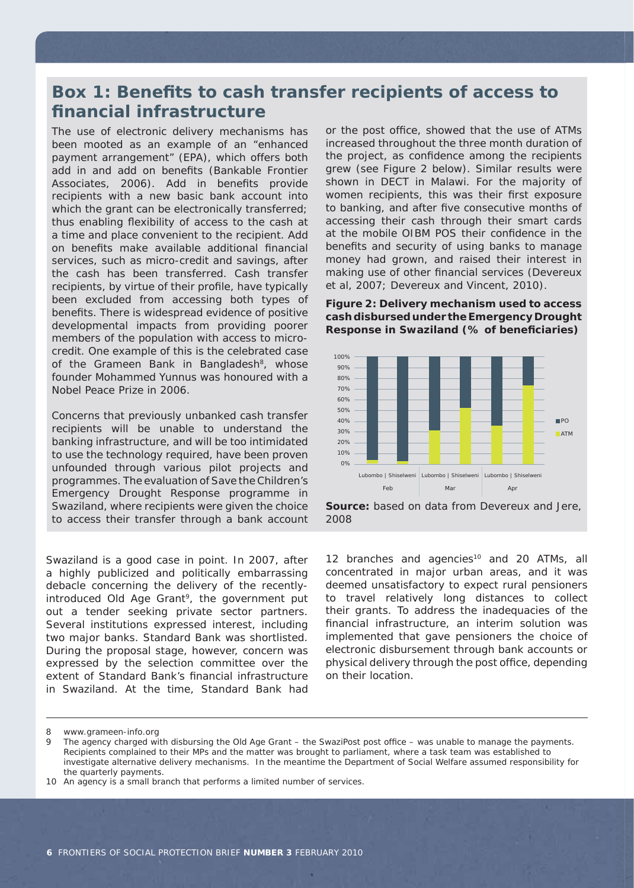# **Box 1: Benefits to cash transfer recipients of access to fi nancial infrastructure**

The use of electronic delivery mechanisms has been mooted as an example of an "enhanced payment arrangement" (EPA), which offers both add in and *add on* benefits (Bankable Frontier Associates, 2006). Add in benefits provide recipients with a new basic bank account into which the grant can be electronically transferred; thus enabling flexibility of access to the cash at a time and place convenient to the recipient. Add on benefits make available additional financial services, such as micro-credit and savings, after the cash has been transferred. Cash transfer recipients, by virtue of their profile, have typically been excluded from accessing both types of benefits. There is widespread evidence of positive developmental impacts from providing poorer members of the population with access to microcredit. One example of this is the celebrated case of the Grameen Bank in Bangladesh<sup>8</sup>, whose founder Mohammed Yunnus was honoured with a Nobel Peace Prize in 2006.

Concerns that previously unbanked cash transfer recipients will be unable to understand the banking infrastructure, and will be too intimidated to use the technology required, have been proven unfounded through various pilot projects and programmes. The evaluation of Save the Children's Emergency Drought Response programme in Swaziland, where recipients were given the choice to access their transfer through a bank account

Swaziland is a good case in point. In 2007, after a highly publicized and politically embarrassing debacle concerning the delivery of the recentlyintroduced Old Age Grant<sup>9</sup>, the government put out a tender seeking private sector partners. Several institutions expressed interest, including two major banks. Standard Bank was shortlisted. During the proposal stage, however, concern was expressed by the selection committee over the extent of Standard Bank's financial infrastructure in Swaziland. At the time, Standard Bank had

or the post office, showed that the use of ATMs increased throughout the three month duration of the project, as confidence among the recipients grew (see Figure 2 below). Similar results were shown in DECT in Malawi. For the majority of women recipients, this was their first exposure to banking, and after five consecutive months of accessing their cash through their smart cards at the mobile OIBM POS their confidence in the benefits and security of using banks to manage money had grown, and raised their interest in making use of other financial services (Devereux et al, 2007; Devereux and Vincent, 2010).

**Figure 2: Delivery mechanism used to access cash disbursed under the Emergency Drought Response in Swaziland (% of benefi ciaries)**



**Source:** based on data from Devereux and Jere, 2008

12 branches and agencies<sup>10</sup> and 20 ATMs, all concentrated in major urban areas, and it was deemed unsatisfactory to expect rural pensioners to travel relatively long distances to collect their grants. To address the inadequacies of the financial infrastructure, an interim solution was implemented that gave pensioners the choice of electronic disbursement through bank accounts or physical delivery through the post office, depending on their location.

<sup>8</sup> www.grameen-info.org

<sup>9</sup> The agency charged with disbursing the Old Age Grant – the SwaziPost post office – was unable to manage the payments. Recipients complained to their MPs and the matter was brought to parliament, where a task team was established to investigate alternative delivery mechanisms. In the meantime the Department of Social Welfare assumed responsibility for the quarterly payments.

<sup>10</sup> An agency is a small branch that performs a limited number of services.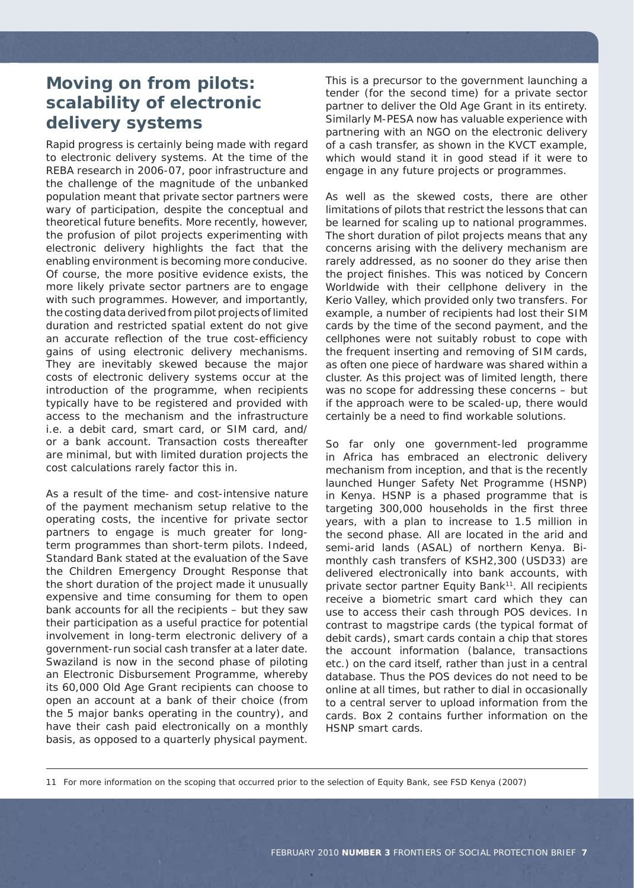# **Moving on from pilots: scalability of electronic delivery systems**

Rapid progress is certainly being made with regard to electronic delivery systems. At the time of the REBA research in 2006-07, poor infrastructure and the challenge of the magnitude of the unbanked population meant that private sector partners were wary of participation, despite the conceptual and theoretical future benefits. More recently, however, the profusion of pilot projects experimenting with electronic delivery highlights the fact that the enabling environment is becoming more conducive. Of course, the more positive evidence exists, the more likely private sector partners are to engage with such programmes. However, and importantly, the costing data derived from pilot projects of limited duration and restricted spatial extent do not give an accurate reflection of the true cost-efficiency gains of using electronic delivery mechanisms. They are inevitably skewed because the major costs of electronic delivery systems occur at the introduction of the programme, when recipients typically have to be registered and provided with access to the mechanism and the infrastructure i.e. a debit card, smart card, or SIM card, and/ or a bank account. Transaction costs thereafter are minimal, but with limited duration projects the cost calculations rarely factor this in.

As a result of the time- and cost-intensive nature of the payment mechanism setup relative to the operating costs, the incentive for private sector partners to engage is much greater for longterm programmes than short-term pilots. Indeed, Standard Bank stated at the evaluation of the Save the Children Emergency Drought Response that the short duration of the project made it unusually expensive and time consuming for them to open bank accounts for all the recipients – but they saw their participation as a useful practice for potential involvement in long-term electronic delivery of a government-run social cash transfer at a later date. Swaziland is now in the second phase of piloting an Electronic Disbursement Programme, whereby its 60,000 Old Age Grant recipients can choose to open an account at a bank of their choice (from the 5 major banks operating in the country), and have their cash paid electronically on a monthly basis, as opposed to a quarterly physical payment.

This is a precursor to the government launching a tender (for the second time) for a private sector partner to deliver the Old Age Grant in its entirety. Similarly M-PESA now has valuable experience with partnering with an NGO on the electronic delivery of a cash transfer, as shown in the KVCT example, which would stand it in good stead if it were to engage in any future projects or programmes.

As well as the skewed costs, there are other limitations of pilots that restrict the lessons that can be learned for scaling up to national programmes. The short duration of pilot projects means that any concerns arising with the delivery mechanism are rarely addressed, as no sooner do they arise then the project finishes. This was noticed by Concern Worldwide with their cellphone delivery in the Kerio Valley, which provided only two transfers. For example, a number of recipients had lost their SIM cards by the time of the second payment, and the cellphones were not suitably robust to cope with the frequent inserting and removing of SIM cards, as often one piece of hardware was shared within a cluster. As this project was of limited length, there was no scope for addressing these concerns – but if the approach were to be scaled-up, there would certainly be a need to find workable solutions.

So far only one government-led programme in Africa has embraced an electronic delivery mechanism from inception, and that is the recently launched Hunger Safety Net Programme (HSNP) in Kenya. HSNP is a phased programme that is targeting 300,000 households in the first three years, with a plan to increase to 1.5 million in the second phase. All are located in the arid and semi-arid lands (ASAL) of northern Kenya. Bimonthly cash transfers of KSH2,300 (USD33) are delivered electronically into bank accounts, with private sector partner Equity Bank<sup>11</sup>. All recipients receive a biometric smart card which they can use to access their cash through POS devices. In contrast to magstripe cards (the typical format of debit cards), smart cards contain a chip that stores the account information (balance, transactions etc.) on the card itself, rather than just in a central database. Thus the POS devices do not need to be online at all times, but rather to dial in occasionally to a central server to upload information from the cards. Box 2 contains further information on the HSNP smart cards.

11 For more information on the scoping that occurred prior to the selection of Equity Bank, see FSD Kenya (2007)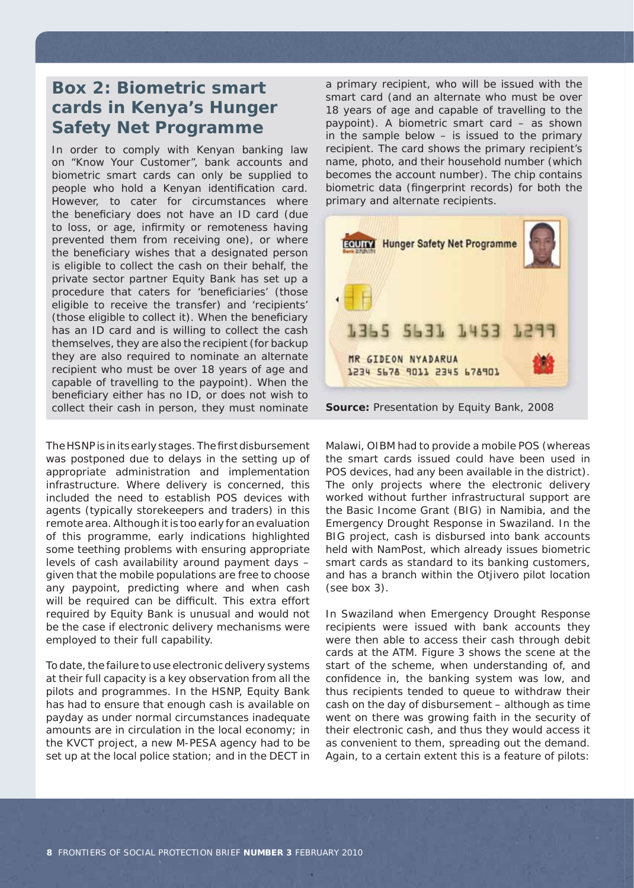### **Box 2: Biometric smart cards in Kenya's Hunger Safety Net Programme**

In order to comply with Kenyan banking law on "Know Your Customer", bank accounts and biometric smart cards can only be supplied to people who hold a Kenyan identification card. However, to cater for circumstances where the beneficiary does not have an ID card (due to loss, or age, infirmity or remoteness having prevented them from receiving one), or where the beneficiary wishes that a designated person is eligible to collect the cash on their behalf, the private sector partner Equity Bank has set up a procedure that caters for 'beneficiaries' (those eligible to receive the transfer) and 'recipients' (those eligible to collect it). When the beneficiary has an ID card and is willing to collect the cash themselves, they are also the recipient (for backup they are also required to nominate an alternate recipient who must be over 18 years of age and capable of travelling to the paypoint). When the beneficiary either has no ID, or does not wish to collect their cash in person, they must nominate

The HSNP is in its early stages. The first disbursement was postponed due to delays in the setting up of appropriate administration and implementation infrastructure. Where delivery is concerned, this included the need to establish POS devices with agents (typically storekeepers and traders) in this remote area. Although it is too early for an evaluation of this programme, early indications highlighted some teething problems with ensuring appropriate levels of cash availability around payment days – given that the mobile populations are free to choose any paypoint, predicting where and when cash will be required can be difficult. This extra effort required by Equity Bank is unusual and would not be the case if electronic delivery mechanisms were employed to their full capability.

To date, the failure to use electronic delivery systems at their full capacity is a key observation from all the pilots and programmes. In the HSNP, Equity Bank has had to ensure that enough cash is available on payday as under normal circumstances inadequate amounts are in circulation in the local economy; in the KVCT project, a new M-PESA agency had to be set up at the local police station; and in the DECT in

a primary recipient, who will be issued with the smart card (and an alternate who must be over 18 years of age and capable of travelling to the paypoint). A biometric smart card – as shown in the sample below – is issued to the primary recipient. The card shows the primary recipient's name, photo, and their household number (which becomes the account number). The chip contains biometric data (fingerprint records) for both the primary and alternate recipients.





Malawi, OIBM had to provide a mobile POS (whereas the smart cards issued could have been used in POS devices, had any been available in the district). The only projects where the electronic delivery worked without further infrastructural support are the Basic Income Grant (BIG) in Namibia, and the Emergency Drought Response in Swaziland. In the BIG project, cash is disbursed into bank accounts held with NamPost, which already issues biometric smart cards as standard to its banking customers, and has a branch within the Otjivero pilot location (see box 3).

In Swaziland when Emergency Drought Response recipients were issued with bank accounts they were then able to access their cash through debit cards at the ATM. Figure 3 shows the scene at the start of the scheme, when understanding of, and confidence in, the banking system was low, and thus recipients tended to queue to withdraw their cash on the day of disbursement – although as time went on there was growing faith in the security of their electronic cash, and thus they would access it as convenient to them, spreading out the demand. Again, to a certain extent this is a feature of pilots: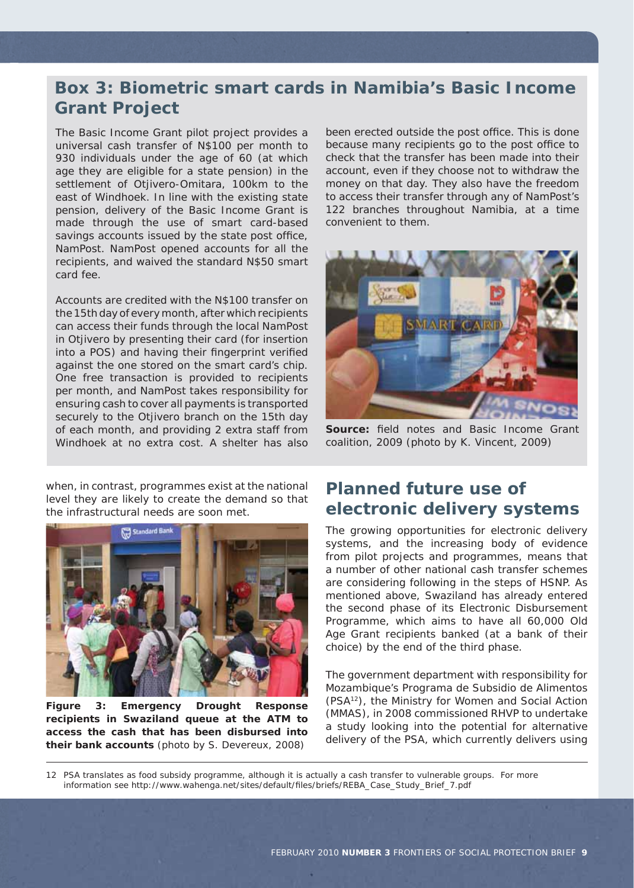## **Box 3: Biometric smart cards in Namibia's Basic Income Grant Project**

The Basic Income Grant pilot project provides a universal cash transfer of N\$100 per month to 930 individuals under the age of 60 (at which age they are eligible for a state pension) in the settlement of Otjivero-Omitara, 100km to the east of Windhoek. In line with the existing state pension, delivery of the Basic Income Grant is made through the use of smart card-based savings accounts issued by the state post office, NamPost. NamPost opened accounts for all the recipients, and waived the standard N\$50 smart card fee.

Accounts are credited with the N\$100 transfer on the 15th day of every month, after which recipients can access their funds through the local NamPost in Otjivero by presenting their card (for insertion into a POS) and having their fingerprint verified against the one stored on the smart card's chip. One free transaction is provided to recipients per month, and NamPost takes responsibility for ensuring cash to cover all payments is transported securely to the Otjivero branch on the 15th day of each month, and providing 2 extra staff from Windhoek at no extra cost. A shelter has also

when, in contrast, programmes exist at the national level they are likely to create the demand so that the infrastructural needs are soon met.



**Figure 3: Emergency Drought Response recipients in Swaziland queue at the ATM to access the cash that has been disbursed into their bank accounts** (photo by S. Devereux, 2008)

been erected outside the post office. This is done because many recipients go to the post office to check that the transfer has been made into their account, even if they choose not to withdraw the money on that day. They also have the freedom to access their transfer through any of NamPost's 122 branches throughout Namibia, at a time convenient to them.



**Source:** field notes and Basic Income Grant coalition, 2009 (photo by K. Vincent, 2009)

#### **Planned future use of electronic delivery systems**

The growing opportunities for electronic delivery systems, and the increasing body of evidence from pilot projects and programmes, means that a number of other national cash transfer schemes are considering following in the steps of HSNP. As mentioned above, Swaziland has already entered the second phase of its Electronic Disbursement Programme, which aims to have all 60,000 Old Age Grant recipients banked (at a bank of their choice) by the end of the third phase.

The government department with responsibility for Mozambique's *Programa de Subsidio de Alimentos* (PSA12), the Ministry for Women and Social Action (MMAS), in 2008 commissioned RHVP to undertake a study looking into the potential for alternative delivery of the PSA, which currently delivers using

12 PSA translates as food subsidy programme, although it is actually a cash transfer to vulnerable groups. For more information see http://www.wahenga.net/sites/default/files/briefs/REBA\_Case\_Study\_Brief\_7.pdf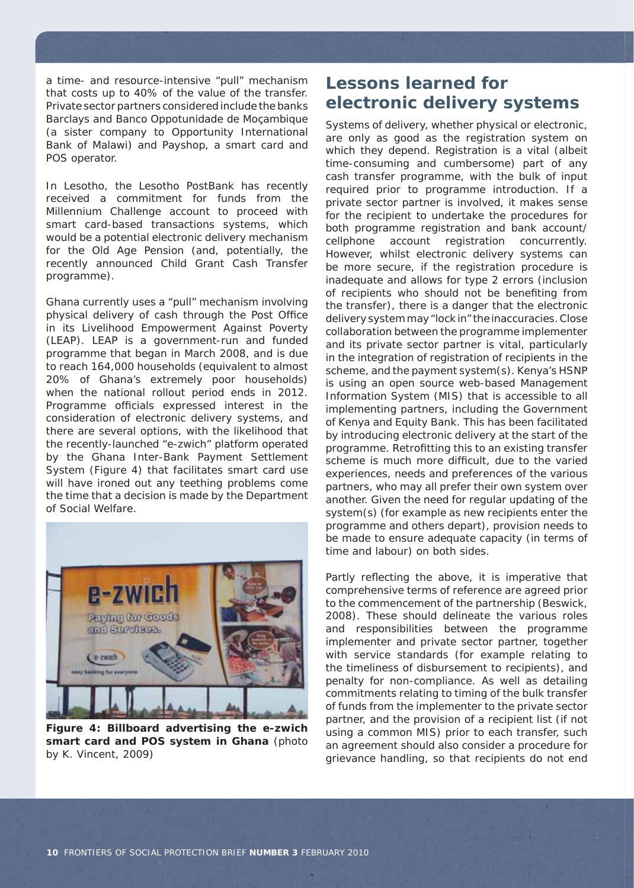a time- and resource-intensive "pull" mechanism that costs up to 40% of the value of the transfer. Private sector partners considered include the banks Barclays and *Banco Oppotunidade de Moçambique* (a sister company to Opportunity International Bank of Malawi) and Payshop, a smart card and POS operator.

In Lesotho, the Lesotho PostBank has recently received a commitment for funds from the Millennium Challenge account to proceed with smart card-based transactions systems, which would be a potential electronic delivery mechanism for the Old Age Pension (and, potentially, the recently announced Child Grant Cash Transfer programme).

Ghana currently uses a "pull" mechanism involving physical delivery of cash through the Post Office in its Livelihood Empowerment Against Poverty (LEAP). LEAP is a government-run and funded programme that began in March 2008, and is due to reach 164,000 households (equivalent to almost 20% of Ghana's extremely poor households) when the national rollout period ends in 2012. Programme officials expressed interest in the consideration of electronic delivery systems, and there are several options, with the likelihood that the recently-launched "e-zwich" platform operated by the Ghana Inter-Bank Payment Settlement System (Figure 4) that facilitates smart card use will have ironed out any teething problems come the time that a decision is made by the Department of Social Welfare.



**Figure 4: Billboard advertising the e-zwich smart card and POS system in Ghana** (photo by K. Vincent, 2009)

### **Lessons learned for electronic delivery systems**

Systems of delivery, whether physical or electronic, are only as good as the registration system on which they depend. Registration is a vital (albeit time-consuming and cumbersome) part of any cash transfer programme, with the bulk of input required prior to programme introduction. If a private sector partner is involved, it makes sense for the recipient to undertake the procedures for both programme registration and bank account/ cellphone account registration concurrently. However, whilst electronic delivery systems can be more secure, if the registration procedure is inadequate and allows for type 2 errors (inclusion of recipients who should not be benefiting from the transfer), there is a danger that the electronic delivery system may "lock in" the inaccuracies. Close collaboration between the programme implementer and its private sector partner is vital, particularly in the integration of registration of recipients in the scheme, and the payment system(s). Kenya's HSNP is using an open source web-based Management Information System (MIS) that is accessible to all implementing partners, including the Government of Kenya and Equity Bank. This has been facilitated by introducing electronic delivery at the start of the programme. Retrofitting this to an existing transfer scheme is much more difficult, due to the varied experiences, needs and preferences of the various partners, who may all prefer their own system over another. Given the need for regular updating of the system(s) (for example as new recipients enter the programme and others depart), provision needs to be made to ensure adequate capacity (in terms of time and labour) on both sides.

Partly reflecting the above, it is imperative that comprehensive terms of reference are agreed prior to the commencement of the partnership (Beswick, 2008). These should delineate the various roles and responsibilities between the programme implementer and private sector partner, together with service standards (for example relating to the timeliness of disbursement to recipients), and penalty for non-compliance. As well as detailing commitments relating to timing of the bulk transfer of funds from the implementer to the private sector partner, and the provision of a recipient list (if not using a common MIS) prior to each transfer, such an agreement should also consider a procedure for grievance handling, so that recipients do not end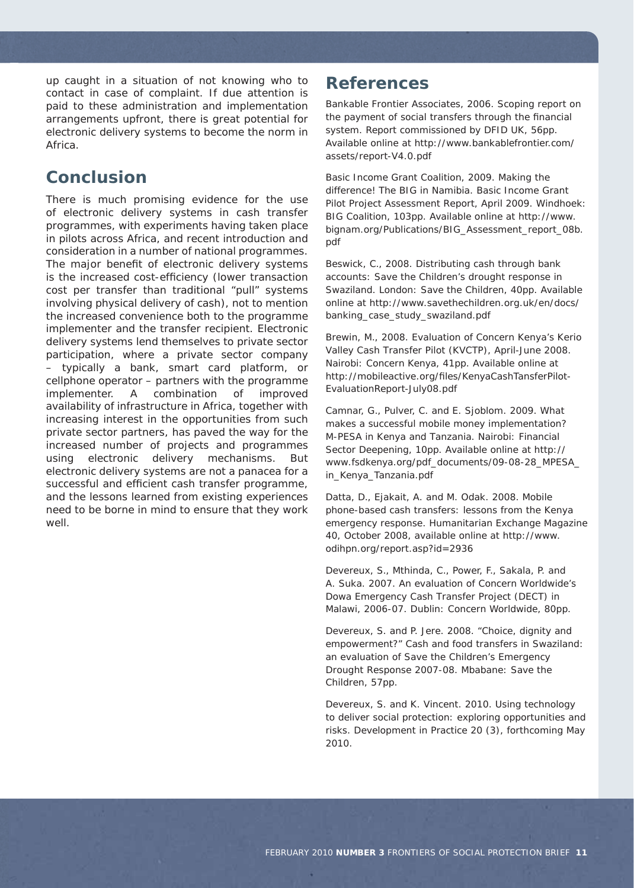up caught in a situation of not knowing who to contact in case of complaint. If due attention is paid to these administration and implementation arrangements upfront, there is great potential for electronic delivery systems to become the norm in Africa.

### **Conclusion**

There is much promising evidence for the use of electronic delivery systems in cash transfer programmes, with experiments having taken place in pilots across Africa, and recent introduction and consideration in a number of national programmes. The major benefit of electronic delivery systems is the increased cost-efficiency (lower transaction cost per transfer than traditional "pull" systems involving physical delivery of cash), not to mention the increased convenience both to the programme implementer and the transfer recipient. Electronic delivery systems lend themselves to private sector participation, where a private sector company – typically a bank, smart card platform, or cellphone operator – partners with the programme implementer. A combination of improved availability of infrastructure in Africa, together with increasing interest in the opportunities from such private sector partners, has paved the way for the increased number of projects and programmes using electronic delivery mechanisms. But electronic delivery systems are not a panacea for a successful and efficient cash transfer programme, and the lessons learned from existing experiences need to be borne in mind to ensure that they work well

#### **References**

Bankable Frontier Associates, 2006. *Scoping report on the payment of social transfers through the financial system*. Report commissioned by DFID UK, 56pp. Available online at http://www.bankablefrontier.com/ assets/report-V4.0.pdf

Basic Income Grant Coalition, 2009. *Making the difference! The BIG in Namibia. Basic Income Grant Pilot Project Assessment Report*, April 2009. Windhoek: BIG Coalition, 103pp. Available online at http://www. bignam.org/Publications/BIG\_Assessment\_report\_08b. pdf

Beswick, C., 2008. *Distributing cash through bank accounts: Save the Children's drought response in Swaziland*. London: Save the Children, 40pp. Available online at http://www.savethechildren.org.uk/en/docs/ banking\_case\_study\_swaziland.pdf

Brewin, M., 2008. *Evaluation of Concern Kenya's Kerio Valley Cash Transfer Pilot (KVCTP)*, April-June 2008. Nairobi: Concern Kenya, 41pp. Available online at http://mobileactive.org/files/KenyaCashTansferPilot-EvaluationReport-July08.pdf

Camnar, G., Pulver, C. and E. Sjoblom. 2009. *What makes a successful mobile money implementation? M-PESA in Kenya and Tanzania*. Nairobi: Financial Sector Deepening, 10pp. Available online at http:// www.fsdkenya.org/pdf\_documents/09-08-28\_MPESA\_ in\_Kenya\_Tanzania.pdf

Datta, D., Ejakait, A. and M. Odak. 2008. *Mobile phone-based cash transfers: lessons from the Kenya emergency response*. Humanitarian Exchange Magazine 40, October 2008, available online at http://www. odihpn.org/report.asp?id=2936

Devereux, S., Mthinda, C., Power, F., Sakala, P. and A. Suka. 2007. *An evaluation of Concern Worldwide's Dowa Emergency Cash Transfer Project (DECT) in Malawi, 2006-07*. Dublin: Concern Worldwide, 80pp.

Devereux, S. and P. Jere. 2008. "*Choice, dignity and empowerment?" Cash and food transfers in Swaziland: an evaluation of Save the Children's Emergency Drought Response 2007-08*. Mbabane: Save the Children, 57pp.

Devereux, S. and K. Vincent. 2010. *Using technology to deliver social protection: exploring opportunities and risks*. Development in Practice 20 (3), forthcoming May 2010.